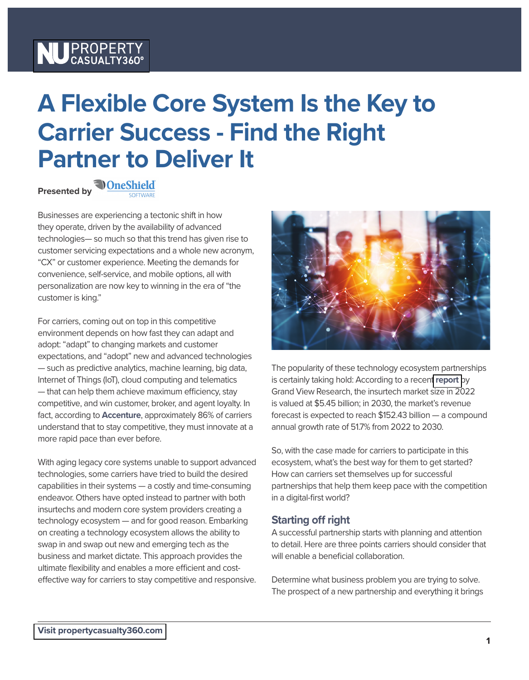# NU PROPERTY

## **A Flexible Core System Is the Key to Carrier Success - Find the Right Partner to Deliver It**

**Presentedby**<br>**•** <u>**OneShield</u>**</u>

Businesses are experiencing a tectonic shift in how they operate, driven by the availability of advanced technologies— so much so that this trend has given rise to customer servicing expectations and a whole new acronym, "CX" or customer experience. Meeting the demands for convenience, self-service, and mobile options, all with personalization are now key to winning in the era of "the customer is king."

For carriers, coming out on top in this competitive environment depends on how fast they can adapt and adopt: "adapt" to changing markets and customer expectations, and "adopt" new and advanced technologies — such as predictive analytics, machine learning, big data, Internet of Things (IoT), cloud computing and telematics  $-$  that can help them achieve maximum efficiency, stay competitive, and win customer, broker, and agent loyalty. In fact, according to **[Accenture](https://acnmedia.accenture.com/PDF/Accenture-The-Rise-of-Insurtech.pdf)**, approximately 86% of carriers understand that to stay competitive, they must innovate at a more rapid pace than ever before.

With aging legacy core systems unable to support advanced technologies, some carriers have tried to build the desired capabilities in their systems — a costly and time-consuming endeavor. Others have opted instead to partner with both insurtechs and modern core system providers creating a technology ecosystem — and for good reason. Embarking on creating a technology ecosystem allows the ability to swap in and swap out new and emerging tech as the business and market dictate. This approach provides the ultimate flexibility and enables a more efficient and costeffective way for carriers to stay competitive and responsive.



The popularity of these technology ecosystem partnerships is certainly taking hold: According to a recent **[report](https://www.grandviewresearch.com/industry-analysis/insurtech-market#:~:text=The%20global%20insurtech%20market%20is,USD%20152.43%20billion%20by%202030.)** by Grand View Research, the insurtech market size in 2022 is valued at \$5.45 billion; in 2030, the market's revenue forecast is expected to reach \$152.43 billion — a compound annual growth rate of 51.7% from 2022 to 2030.

So, with the case made for carriers to participate in this ecosystem, what's the best way for them to get started? How can carriers set themselves up for successful partnerships that help them keep pace with the competition in a digital-first world?

#### **Starting off right**

A successful partnership starts with planning and attention to detail. Here are three points carriers should consider that will enable a beneficial collaboration.

Determine what business problem you are trying to solve. The prospect of a new partnership and everything it brings